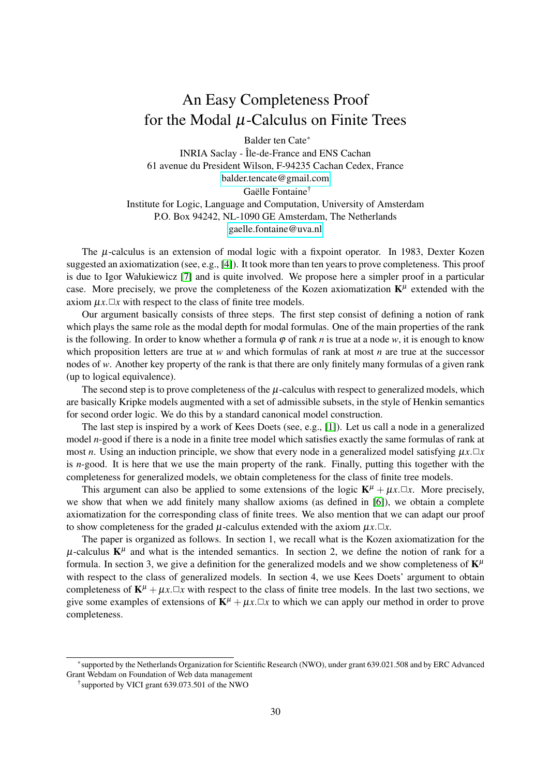# An Easy Completeness Proof for the Modal  $\mu$ -Calculus on Finite Trees

Balder ten Cate<sup>∗</sup> INRIA Saclay - Île-de-France and ENS Cachan 61 avenue du President Wilson, F-94235 Cachan Cedex, France [balder.tencate@gmail.com](mailto:balder.tencate@gmail.com) Gaëlle Fontaine<sup>†</sup> Institute for Logic, Language and Computation, University of Amsterdam P.O. Box 94242, NL-1090 GE Amsterdam, The Netherlands [gaelle.fontaine@uva.nl](mailto:gaelle.fontaine@uva.nl)

The  $\mu$ -calculus is an extension of modal logic with a fixpoint operator. In 1983, Dexter Kozen suggested an axiomatization (see, e.g., [\[4\]](#page-8-0)). It took more than ten years to prove completeness. This proof is due to Igor Wałukiewicz [\[7\]](#page-8-1) and is quite involved. We propose here a simpler proof in a particular case. More precisely, we prove the completeness of the Kozen axiomatization  $K^{\mu}$  extended with the axiom  $\mu x. \Box x$  with respect to the class of finite tree models.

Our argument basically consists of three steps. The first step consist of defining a notion of rank which plays the same role as the modal depth for modal formulas. One of the main properties of the rank is the following. In order to know whether a formula  $\varphi$  of rank *n* is true at a node *w*, it is enough to know which proposition letters are true at *w* and which formulas of rank at most *n* are true at the successor nodes of *w*. Another key property of the rank is that there are only finitely many formulas of a given rank (up to logical equivalence).

The second step is to prove completeness of the  $\mu$ -calculus with respect to generalized models, which are basically Kripke models augmented with a set of admissible subsets, in the style of Henkin semantics for second order logic. We do this by a standard canonical model construction.

The last step is inspired by a work of Kees Doets (see, e.g., [\[1\]](#page-7-0)). Let us call a node in a generalized model *n*-good if there is a node in a finite tree model which satisfies exactly the same formulas of rank at most *n*. Using an induction principle, we show that every node in a generalized model satisfying  $\mu x \Box x$ is *n*-good. It is here that we use the main property of the rank. Finally, putting this together with the completeness for generalized models, we obtain completeness for the class of finite tree models.

This argument can also be applied to some extensions of the logic  $\mathbf{K}^{\mu} + \mu x \cdot \Box x$ . More precisely, we show that when we add finitely many shallow axioms (as defined in [\[6\]](#page-7-1)), we obtain a complete axiomatization for the corresponding class of finite trees. We also mention that we can adapt our proof to show completeness for the graded  $\mu$ -calculus extended with the axiom  $\mu x.\Box x$ .

The paper is organized as follows. In section 1, we recall what is the Kozen axiomatization for the  $\mu$ -calculus  $K^{\mu}$  and what is the intended semantics. In section 2, we define the notion of rank for a formula. In section 3, we give a definition for the generalized models and we show completeness of  $\mathbf{K}^{\mu}$ with respect to the class of generalized models. In section 4, we use Kees Doets' argument to obtain completeness of  $K^{\mu} + \mu x \cdot \Box x$  with respect to the class of finite tree models. In the last two sections, we give some examples of extensions of  $K^{\mu} + \mu x \cdot \Box x$  to which we can apply our method in order to prove completeness.

<sup>∗</sup> supported by the Netherlands Organization for Scientific Research (NWO), under grant 639.021.508 and by ERC Advanced Grant Webdam on Foundation of Web data management

<sup>†</sup> supported by VICI grant 639.073.501 of the NWO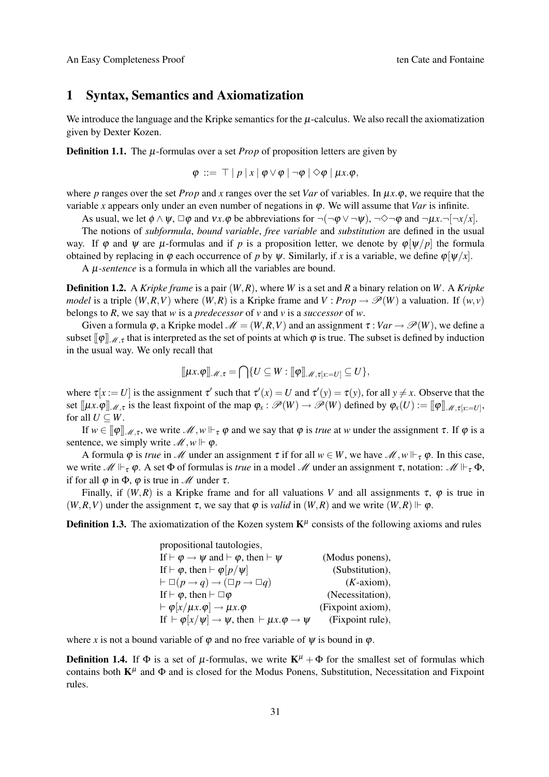# 1 Syntax, Semantics and Axiomatization

We introduce the language and the Kripke semantics for the  $\mu$ -calculus. We also recall the axiomatization given by Dexter Kozen.

**Definition 1.1.** The  $\mu$ -formulas over a set *Prop* of proposition letters are given by

$$
\varphi \ ::= \ \top \ | \ p \ | \ x \ | \ \varphi \vee \varphi \ | \ \neg \varphi \ | \ \Diamond \varphi \ | \ \mu x. \varphi,
$$

where *p* ranges over the set *Prop* and *x* ranges over the set *Var* of variables. In  $\mu x.\varphi$ , we require that the variable *x* appears only under an even number of negations in  $\varphi$ . We will assume that *Var* is infinite.

As usual, we let  $\phi \wedge \psi$ ,  $\Box \phi$  and  $\nu x.\phi$  be abbreviations for  $\neg(\neg \phi \vee \neg \psi)$ ,  $\neg \Diamond \neg \phi$  and  $\neg \mu x.\neg[\neg x/x]$ .

The notions of *subformula*, *bound variable*, *free variable* and *substitution* are defined in the usual way. If  $\varphi$  and  $\psi$  are  $\mu$ -formulas and if *p* is a proposition letter, we denote by  $\varphi[\psi/p]$  the formula obtained by replacing in  $\varphi$  each occurrence of *p* by  $\psi$ . Similarly, if *x* is a variable, we define  $\varphi[\psi/x]$ .

A µ*-sentence* is a formula in which all the variables are bound.

<span id="page-1-0"></span>Definition 1.2. A *Kripke frame* is a pair (*W*,*R*), where *W* is a set and *R* a binary relation on *W*. A *Kripke model* is a triple  $(W, R, V)$  where  $(W, R)$  is a Kripke frame and  $V : Prop \rightarrow \mathcal{P}(W)$  a valuation. If  $(w, v)$ belongs to *R*, we say that *w* is a *predecessor* of *v* and *v* is a *successor* of *w*.

Given a formula  $\varphi$ , a Kripke model  $\mathcal{M} = (W, R, V)$  and an assignment  $\tau : Var \to \mathcal{P}(W)$ , we define a subset  $[\![\varphi]\!]_{\mathcal{M},\tau}$  that is interpreted as the set of points at which  $\varphi$  is true. The subset is defined by induction in the usual way. We only recall that

$$
[\![\mu x.\varphi ]\!]_{\mathscr{M},\tau} = \bigcap \{U \subseteq W : [\![\varphi ]\!]_{\mathscr{M},\tau[x:=U]} \subseteq U \},
$$

where  $\tau[x := U]$  is the assignment  $\tau'$  such that  $\tau'(x) = U$  and  $\tau'(y) = \tau(y)$ , for all  $y \neq x$ . Observe that the set  $[\![\mu x.\varphi]\!]_{\mathscr{M},\tau}$  is the least fixpoint of the map  $\varphi_x : \mathscr{P}(W) \to \mathscr{P}(W)$  defined by  $\varphi_x(U) := [\![\varphi]\!]_{\mathscr{M},\tau[x:=U]},$ for all  $U \subseteq W$ .

If  $w \in [\![\varphi]\!]_{\mathscr{M},\tau}$ , we write  $\mathscr{M}, w \Vdash_{\tau} \varphi$  and we say that  $\varphi$  is *true* at w under the assignment  $\tau$ . If  $\varphi$  is a sentence, we simply write  $\mathcal{M}, w \Vdash \varphi$ .

A formula  $\varphi$  is *true* in *M* under an assignment  $\tau$  if for all  $w \in W$ , we have *M*,  $w \Vdash_{\tau} \varphi$ . In this case, we write  $\mathcal{M} \Vdash_{\tau} \varphi$ . A set  $\Phi$  of formulas is *true* in a model  $\mathcal{M}$  under an assignment  $\tau$ , notation:  $\mathcal{M} \Vdash_{\tau} \Phi$ , if for all  $\varphi$  in  $\Phi$ ,  $\varphi$  is true in  $\mathcal M$  under  $\tau$ .

Finally, if  $(W, R)$  is a Kripke frame and for all valuations *V* and all assignments  $\tau$ ,  $\varphi$  is true in  $(W, R, V)$  under the assignment  $\tau$ , we say that  $\varphi$  is *valid* in  $(W, R)$  and we write  $(W, R) \Vdash \varphi$ .

**Definition 1.3.** The axiomatization of the Kozen system  $K^{\mu}$  consists of the following axioms and rules

| propositional tautologies,                                                                  |                   |
|---------------------------------------------------------------------------------------------|-------------------|
| If $\vdash \varphi \rightarrow \psi$ and $\vdash \varphi$ , then $\vdash \psi$              | (Modus ponens),   |
| If $\vdash \varphi$ , then $\vdash \varphi[p/\psi]$                                         | (Substitution),   |
| $\vdash \Box(p \rightarrow q) \rightarrow (\Box p \rightarrow \Box q)$                      | $(K$ -axiom),     |
| If $\vdash \varphi$ , then $\vdash \Box \varphi$                                            | (Necessitation),  |
| $\vdash \varphi[x/\mu x.\varphi] \rightarrow \mu x.\varphi$                                 | (Fixpoint axiom), |
| If $\vdash \varphi[x/\psi] \rightarrow \psi$ , then $\vdash \mu x.\varphi \rightarrow \psi$ | (Fixpoint rule),  |

where *x* is not a bound variable of  $\varphi$  and no free variable of  $\psi$  is bound in  $\varphi$ .

**Definition 1.4.** If  $\Phi$  is a set of  $\mu$ -formulas, we write  $K^{\mu} + \Phi$  for the smallest set of formulas which contains both  $K^{\mu}$  and  $\Phi$  and is closed for the Modus Ponens, Substitution, Necessitation and Fixpoint rules.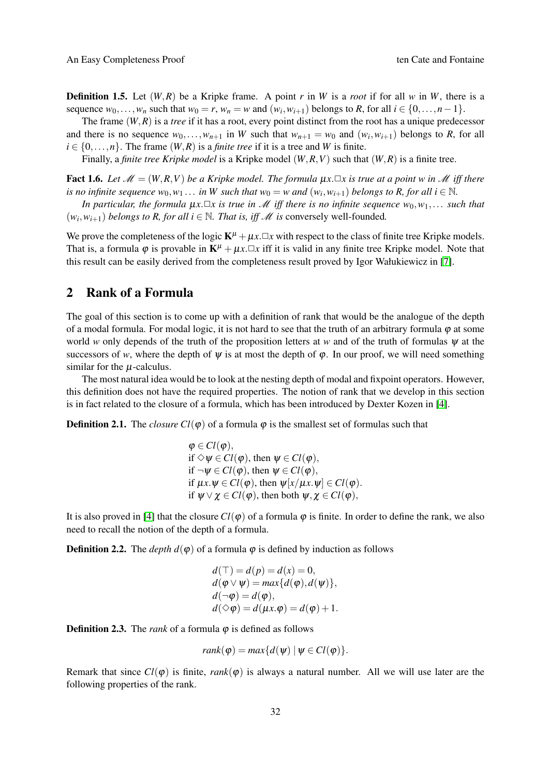**Definition 1.5.** Let  $(W, R)$  be a Kripke frame. A point *r* in *W* is a *root* if for all *w* in *W*, there is a sequence  $w_0, \ldots, w_n$  such that  $w_0 = r$ ,  $w_n = w$  and  $(w_i, w_{i+1})$  belongs to *R*, for all  $i \in \{0, \ldots, n-1\}$ .

The frame (*W*,*R*) is a *tree* if it has a root, every point distinct from the root has a unique predecessor and there is no sequence  $w_0, \ldots, w_{n+1}$  in W such that  $w_{n+1} = w_0$  and  $(w_i, w_{i+1})$  belongs to R, for all  $i \in \{0, \ldots, n\}$ . The frame  $(W, R)$  is a *finite tree* if it is a tree and *W* is finite.

Finally, a *finite tree Kripke model* is a Kripke model (*W*,*R*,*V*) such that (*W*,*R*) is a finite tree.

<span id="page-2-1"></span>**Fact 1.6.** Let  $\mathcal{M} = (W, R, V)$  be a Kripke model. The formula  $\mu x \Box x$  is true at a point w in  $\mathcal{M}$  iff there *is no infinite sequence*  $w_0, w_1, \ldots$  *in* W such that  $w_0 = w$  and  $(w_i, w_{i+1})$  belongs to R, for all  $i \in \mathbb{N}$ .

*In particular, the formula*  $\mu x.\Box x$  *is true in* M *iff there is no infinite sequence*  $w_0, w_1, \ldots$  *such that*  $(w_i, w_{i+1})$  *belongs to R, for all i*  $\in \mathbb{N}$ *. That is, iff M is conversely well-founded.* 

We prove the completeness of the logic  $K^{\mu} + \mu x \cdot \Box x$  with respect to the class of finite tree Kripke models. That is, a formula  $\varphi$  is provable in  $\mathbf{K}^{\mu} + \mu x \cdot \Box x$  iff it is valid in any finite tree Kripke model. Note that this result can be easily derived from the completeness result proved by Igor Wałukiewicz in [\[7\]](#page-8-1).

### 2 Rank of a Formula

The goal of this section is to come up with a definition of rank that would be the analogue of the depth of a modal formula. For modal logic, it is not hard to see that the truth of an arbitrary formula  $\varphi$  at some world *w* only depends of the truth of the proposition letters at *w* and of the truth of formulas ψ at the successors of *w*, where the depth of  $\psi$  is at most the depth of  $\varphi$ . In our proof, we will need something similar for the  $\mu$ -calculus.

The most natural idea would be to look at the nesting depth of modal and fixpoint operators. However, this definition does not have the required properties. The notion of rank that we develop in this section is in fact related to the closure of a formula, which has been introduced by Dexter Kozen in [\[4\]](#page-8-0).

**Definition 2.1.** The *closure Cl*( $\varphi$ ) of a formula  $\varphi$  is the smallest set of formulas such that

 $\varphi \in Cl(\varphi),$ if  $\Diamond \psi \in Cl(\varphi)$ , then  $\psi \in Cl(\varphi)$ , if  $\neg \psi \in Cl(\varphi)$ , then  $\psi \in Cl(\varphi)$ , if  $\mu x.\psi \in Cl(\varphi)$ , then  $\psi[x/\mu x.\psi] \in Cl(\varphi)$ . if  $\psi \lor \chi \in Cl(\varphi)$ , then both  $\psi, \chi \in Cl(\varphi)$ ,

It is also proved in [\[4\]](#page-8-0) that the closure  $Cl(\varphi)$  of a formula  $\varphi$  is finite. In order to define the rank, we also need to recall the notion of the depth of a formula.

**Definition 2.2.** The *depth*  $d(\varphi)$  of a formula  $\varphi$  is defined by induction as follows

$$
d(\top) = d(p) = d(x) = 0,
$$
  
\n
$$
d(\varphi \lor \psi) = \max\{d(\varphi), d(\psi)\},
$$
  
\n
$$
d(\neg \varphi) = d(\varphi),
$$
  
\n
$$
d(\Diamond \varphi) = d(\mu x. \varphi) = d(\varphi) + 1.
$$

**Definition 2.3.** The *rank* of a formula  $\varphi$  is defined as follows

$$
rank(\varphi) = max\{d(\psi) | \psi \in Cl(\varphi)\}.
$$

<span id="page-2-0"></span>Remark that since  $Cl(\varphi)$  is finite, *rank*( $\varphi$ ) is always a natural number. All we will use later are the following properties of the rank.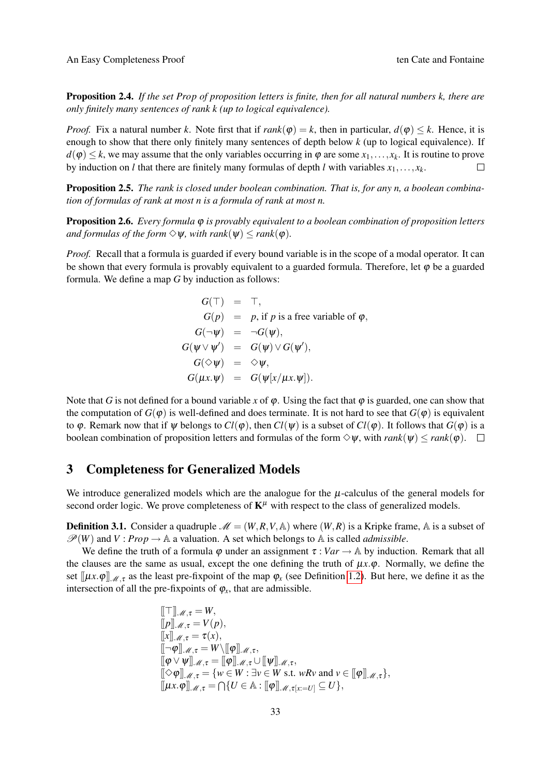Proposition 2.4. *If the set Prop of proposition letters is finite, then for all natural numbers k, there are only finitely many sentences of rank k (up to logical equivalence).*

*Proof.* Fix a natural number *k*. Note first that if  $rank(\varphi) = k$ , then in particular,  $d(\varphi) \leq k$ . Hence, it is enough to show that there only finitely many sentences of depth below *k* (up to logical equivalence). If  $d(\varphi) \leq k$ , we may assume that the only variables occurring in  $\varphi$  are some  $x_1, \ldots, x_k$ . It is routine to prove by induction on *l* that there are finitely many formulas of depth *l* with variables  $x_1, \ldots, x_k$ .  $\Box$ 

<span id="page-3-0"></span>Proposition 2.5. *The rank is closed under boolean combination. That is, for any n, a boolean combination of formulas of rank at most n is a formula of rank at most n.*

<span id="page-3-1"></span>Proposition 2.6. *Every formula* ϕ *is provably equivalent to a boolean combination of proposition letters and formulas of the form*  $\Diamond \psi$ *, with rank*( $\psi$ )  $\leq$  *rank*( $\phi$ )*.* 

*Proof.* Recall that a formula is guarded if every bound variable is in the scope of a modal operator. It can be shown that every formula is provably equivalent to a guarded formula. Therefore, let  $\varphi$  be a guarded formula. We define a map *G* by induction as follows:

$$
G(\top) = \top,
$$
  
\n
$$
G(p) = p, \text{ if } p \text{ is a free variable of } \varphi,
$$
  
\n
$$
G(\neg \psi) = \neg G(\psi),
$$
  
\n
$$
G(\psi \lor \psi') = G(\psi) \lor G(\psi'),
$$
  
\n
$$
G(\diamond \psi) = \diamond \psi,
$$
  
\n
$$
G(\mu x.\psi) = G(\psi[x/\mu x.\psi]).
$$

Note that *G* is not defined for a bound variable *x* of  $\varphi$ . Using the fact that  $\varphi$  is guarded, one can show that the computation of  $G(\varphi)$  is well-defined and does terminate. It is not hard to see that  $G(\varphi)$  is equivalent to  $\varphi$ . Remark now that if  $\psi$  belongs to  $Cl(\varphi)$ , then  $Cl(\psi)$  is a subset of  $Cl(\varphi)$ . It follows that  $G(\varphi)$  is a boolean combination of proposition letters and formulas of the form  $\Diamond \psi$ , with  $rank(\psi) \leq rank(\varphi)$ .  $\Box$ 

# 3 Completeness for Generalized Models

We introduce generalized models which are the analogue for the  $\mu$ -calculus of the general models for second order logic. We prove completeness of  $K^{\mu}$  with respect to the class of generalized models.

**Definition 3.1.** Consider a quadruple  $\mathcal{M} = (W, R, V, A)$  where  $(W, R)$  is a Kripke frame, A is a subset of  $\mathcal{P}(W)$  and  $V: Prop \rightarrow \mathbb{A}$  a valuation. A set which belongs to  $\mathbb{A}$  is called *admissible*.

We define the truth of a formula  $\varphi$  under an assignment  $\tau : Var \to \mathbb{A}$  by induction. Remark that all the clauses are the same as usual, except the one defining the truth of  $\mu x.\varphi$ . Normally, we define the set  $[\mu x.\varphi]_{\mathcal{M},\tau}$  as the least pre-fixpoint of the map  $\varphi_x$  (see Definition [1.2\)](#page-1-0). But here, we define it as the intersection of all the pre-fixpoints of  $\varphi_x$ , that are admissible.

$$
\begin{aligned}\n\llbracket \top \rrbracket \mathcal{M}, \tau &= W, \\
\llbracket p \rrbracket \mathcal{M}, \tau &= V(p), \\
\llbracket x \rrbracket \mathcal{M}, \tau &= \tau(x), \\
\llbracket \neg \varphi \rrbracket \mathcal{M}, \tau &= W \setminus \llbracket \varphi \rrbracket \mathcal{M}, \tau, \\
\llbracket \varphi \vee \psi \rrbracket \mathcal{M}, \tau &= \llbracket \varphi \rrbracket \mathcal{M}, \tau \cup \llbracket \psi \rrbracket \mathcal{M}, \tau, \\
\llbracket \Diamond \varphi \rrbracket \mathcal{M}, \tau &= \{ w \in W : \exists v \in W \text{ s.t. } wRv \text{ and } v \in \llbracket \varphi \rrbracket \mathcal{M}, \tau \}, \\
\llbracket \mu x. \varphi \rrbracket \mathcal{M}, \tau &= \bigcap \{ U \in \mathbb{A} : \llbracket \varphi \rrbracket \mathcal{M}, \tau_{[x:=U]} \subseteq U \},\n\end{aligned}
$$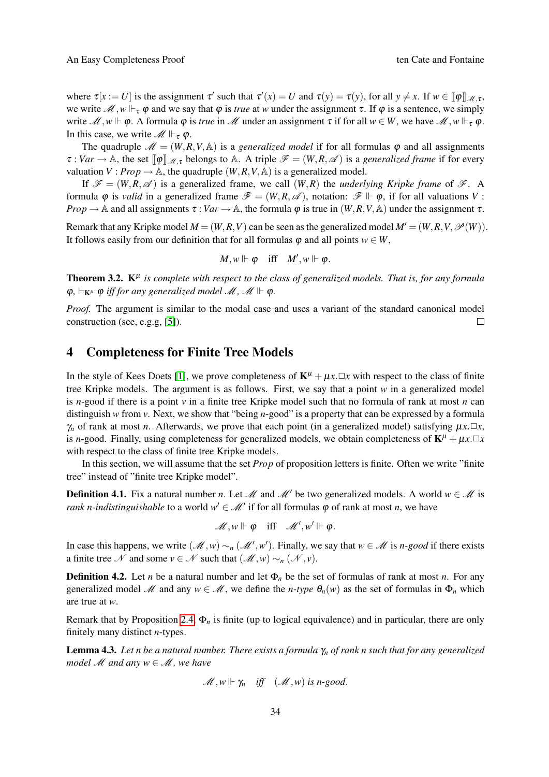where  $\tau[x := U]$  is the assignment  $\tau'$  such that  $\tau'(x) = U$  and  $\tau(y) = \tau(y)$ , for all  $y \neq x$ . If  $w \in [\![\varphi]\!]_{\mathcal{M}, \tau}$ , we write  $\mathcal{M}, w \Vdash_{\tau} \varphi$  and we say that  $\varphi$  is *true* at *w* under the assignment  $\tau$ . If  $\varphi$  is a sentence, we simply write  $\mathcal{M}, w \Vdash \varphi$ . A formula  $\varphi$  is *true* in  $\mathcal{M}$  under an assignment  $\tau$  if for all  $w \in W$ , we have  $\mathcal{M}, w \Vdash_{\tau} \varphi$ . In this case, we write  $\mathscr{M} \Vdash_{\tau} \varphi$ .

The quadruple  $\mathcal{M} = (W, R, V, A)$  is a *generalized model* if for all formulas  $\varphi$  and all assignments  $\tau : Var \to \mathbb{A}$ , the set  $[\![\varphi]\!]_{\mathcal{M},\tau}$  belongs to A. A triple  $\mathcal{F} = (W,R,\mathcal{A})$  is a *generalized frame* if for every valuation *V* : *Prop*  $\rightarrow$  A, the quadruple  $(W, R, V, A)$  is a generalized model.

If  $\mathcal{F} = (W, R, \mathcal{A})$  is a generalized frame, we call  $(W, R)$  the *underlying Kripke frame* of  $\mathcal{F}$ . A formula  $\varphi$  is *valid* in a generalized frame  $\mathscr{F} = (W, R, \mathscr{A})$ , notation:  $\mathscr{F} \Vdash \varphi$ , if for all valuations V: *Prop*  $\rightarrow$  A and all assignments  $\tau : Var \rightarrow A$ , the formula  $\varphi$  is true in  $(W, R, V, A)$  under the assignment  $\tau$ .

Remark that any Kripke model  $M = (W, R, V)$  can be seen as the generalized model  $M' = (W, R, V, \mathcal{P}(W))$ . It follows easily from our definition that for all formulas  $\varphi$  and all points  $w \in W$ ,

$$
M,w\Vdash\varphi\quad\text{iff}\quad M',w\Vdash\varphi.
$$

<span id="page-4-0"></span>**Theorem 3.2.**  $K^{\mu}$  is complete with respect to the class of generalized models. That is, for any formula  $\varphi$ ,  $\vdash_{\mathbf{K}^{\mu}} \varphi$  *iff for any generalized model M, M*  $\Vdash \varphi$ .

*Proof.* The argument is similar to the modal case and uses a variant of the standard canonical model construction (see, e.g.g, [\[5\]](#page-7-2)).  $\Box$ 

#### 4 Completeness for Finite Tree Models

In the style of Kees Doets [\[1\]](#page-7-0), we prove completeness of  $\mathbf{K}^{\mu} + \mu x \cdot \Box x$  with respect to the class of finite tree Kripke models. The argument is as follows. First, we say that a point *w* in a generalized model is *n*-good if there is a point *v* in a finite tree Kripke model such that no formula of rank at most *n* can distinguish *w* from *v*. Next, we show that "being *n*-good" is a property that can be expressed by a formula  $\gamma_n$  of rank at most *n*. Afterwards, we prove that each point (in a generalized model) satisfying  $\mu x \cdot \Box x$ , is *n*-good. Finally, using completeness for generalized models, we obtain completeness of  $\mathbf{K}^{\mu} + \mu x \cdot \Box x$ with respect to the class of finite tree Kripke models.

In this section, we will assume that the set *Prop* of proposition letters is finite. Often we write "finite tree" instead of "finite tree Kripke model".

<span id="page-4-1"></span>**Definition 4.1.** Fix a natural number *n*. Let M and M' be two generalized models. A world  $w \in M$  is *rank n-indistinguishable* to a world  $w' \in \mathcal{M}'$  if for all formulas  $\varphi$  of rank at most *n*, we have

$$
\mathscr{M},w \Vdash \varphi \quad \text{iff} \quad \mathscr{M}',w' \Vdash \varphi.
$$

In case this happens, we write  $(M, w) \sim_n (M', w')$ . Finally, we say that  $w \in M$  is *n-good* if there exists a finite tree N and some  $v \in \mathcal{N}$  such that  $(\mathcal{M}, w) \sim_n (\mathcal{N}, v)$ .

**Definition 4.2.** Let *n* be a natural number and let  $\Phi_n$  be the set of formulas of rank at most *n*. For any generalized model M and any  $w \in M$ , we define the *n-type*  $\theta_n(w)$  as the set of formulas in  $\Phi_n$  which are true at *w*.

Remark that by Proposition [2.4,](#page-2-0) Φ*<sup>n</sup>* is finite (up to logical equivalence) and in particular, there are only finitely many distinct *n*-types.

<span id="page-4-2"></span>Lemma 4.3. *Let n be a natural number. There exists a formula* γ*<sup>n</sup> of rank n such that for any generalized model*  $M$  *and any*  $w \in M$ *, we have* 

$$
\mathscr{M}, w \Vdash \gamma_n \quad \text{iff} \quad (\mathscr{M}, w) \text{ is } n\text{-good}.
$$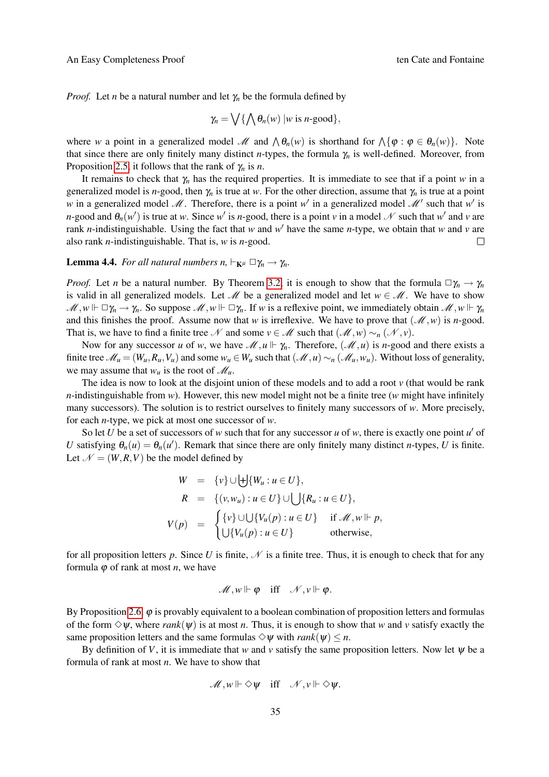*Proof.* Let *n* be a natural number and let  $\gamma_n$  be the formula defined by

$$
\gamma_n = \bigvee \{ \bigwedge \theta_n(w) \mid w \text{ is } n\text{-good} \},
$$

where *w* a point in a generalized model *M* and  $\wedge \theta_n(w)$  is shorthand for  $\wedge {\varphi : \varphi \in \theta_n(w)}$ . Note that since there are only finitely many distinct *n*-types, the formula  $\gamma_n$  is well-defined. Moreover, from Proposition [2.5,](#page-3-0) it follows that the rank of γ*<sup>n</sup>* is *n*.

It remains to check that γ*<sup>n</sup>* has the required properties. It is immediate to see that if a point *w* in a generalized model is *n*-good, then  $\gamma_n$  is true at *w*. For the other direction, assume that  $\gamma_n$  is true at a point w in a generalized model M. Therefore, there is a point w' in a generalized model M' such that w' is *n*-good and  $\theta_n(w')$  is true at *w*. Since *w*<sup>'</sup> is *n*-good, there is a point *v* in a model  $N$  such that *w*<sup>'</sup> and *v* are rank *n*-indistinguishable. Using the fact that *w* and  $w'$  have the same *n*-type, we obtain that *w* and *v* are also rank *n*-indistinguishable. That is, *w* is *n*-good.  $\Box$ 

<span id="page-5-0"></span>**Lemma 4.4.** *For all natural numbers n,*  $\vdash_{\mathbf{K}^{\mu}} \Box \gamma_n \rightarrow \gamma_n$ *.* 

*Proof.* Let *n* be a natural number. By Theorem [3.2,](#page-4-0) it is enough to show that the formula  $\Box \gamma_n \to \gamma_n$ is valid in all generalized models. Let  $\mathcal{M}$  be a generalized model and let  $w \in \mathcal{M}$ . We have to show  $\mathcal{M}, w \Vdash \Box \gamma_n \to \gamma_n$ . So suppose  $\mathcal{M}, w \Vdash \Box \gamma_n$ . If *w* is a reflexive point, we immediately obtain  $\mathcal{M}, w \Vdash \gamma_n$ and this finishes the proof. Assume now that *w* is irreflexive. We have to prove that  $(\mathcal{M}, w)$  is *n*-good. That is, we have to find a finite tree N and some  $v \in M$  such that  $(M, w) \sim_n (N, v)$ .

Now for any successor *u* of *w*, we have  $\mathcal{M}, u \Vdash \gamma_n$ . Therefore,  $(\mathcal{M}, u)$  is *n*-good and there exists a finite tree  $\mathcal{M}_u = (W_u, R_u, V_u)$  and some  $w_u \in W_u$  such that  $(\mathcal{M}, u) \sim_n (\mathcal{M}_u, w_u)$ . Without loss of generality, we may assume that  $w_u$  is the root of  $\mathcal{M}_u$ .

The idea is now to look at the disjoint union of these models and to add a root *v* (that would be rank *n*-indistinguishable from *w*). However, this new model might not be a finite tree (*w* might have infinitely many successors). The solution is to restrict ourselves to finitely many successors of *w*. More precisely, for each *n*-type, we pick at most one successor of *w*.

So let  $U$  be a set of successors of  $w$  such that for any successor  $u$  of  $w$ , there is exactly one point  $u'$  of *U* satisfying  $\theta_n(u) = \theta_n(u')$ . Remark that since there are only finitely many distinct *n*-types, *U* is finite. Let  $\mathcal{N} = (W, R, V)$  be the model defined by

$$
W = \{v\} \cup \biguplus \{W_u : u \in U\},
$$
  
\n
$$
R = \{(v, w_u) : u \in U\} \cup \bigcup \{R_u : u \in U\},
$$
  
\n
$$
V(p) = \begin{cases} \{v\} \cup \bigcup \{V_u(p) : u \in U\} & \text{if } \mathcal{M}, w \Vdash p, \\ \bigcup \{V_u(p) : u \in U\} & \text{otherwise,} \end{cases}
$$

for all proposition letters  $p$ . Since  $U$  is finite,  $\mathcal N$  is a finite tree. Thus, it is enough to check that for any formula  $\varphi$  of rank at most *n*, we have

$$
\mathscr{M},w\Vdash\varphi\quad\text{iff}\quad\mathscr{N},v\Vdash\varphi.
$$

By Proposition [2.6,](#page-3-1)  $\varphi$  is provably equivalent to a boolean combination of proposition letters and formulas of the form  $\Diamond \psi$ , where *rank*( $\psi$ ) is at most *n*. Thus, it is enough to show that *w* and *v* satisfy exactly the same proposition letters and the same formulas  $\Diamond \psi$  with *rank*( $\psi$ )  $\leq n$ .

By definition of *V*, it is immediate that *w* and *v* satisfy the same proposition letters. Now let  $\psi$  be a formula of rank at most *n*. We have to show that

$$
\mathscr{M},w\Vdash \Diamond\psi\quad\text{iff}\quad\mathscr{N},v\Vdash \Diamond\psi.
$$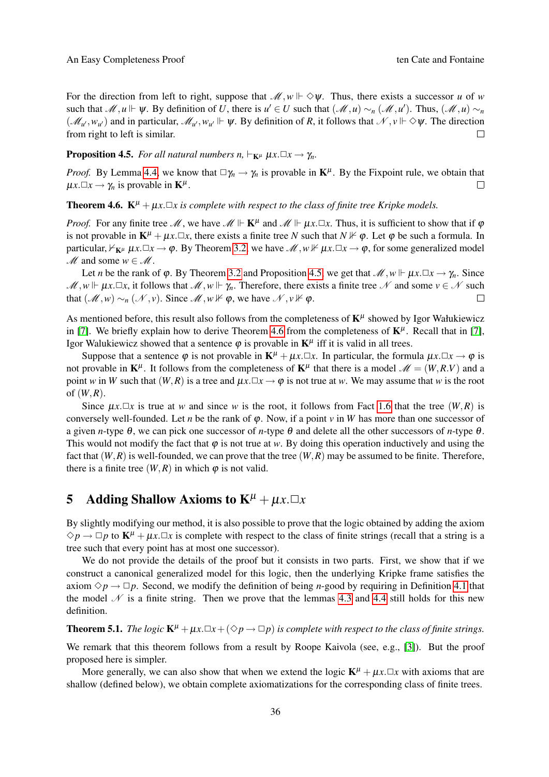For the direction from left to right, suppose that  $\mathcal{M}, w \Vdash \Diamond \psi$ . Thus, there exists a successor *u* of *w* such that  $\mathcal{M}, u \Vdash \psi$ . By definition of *U*, there is  $u' \in U$  such that  $(\mathcal{M}, u) \sim_n (\mathcal{M}, u')$ . Thus,  $(\mathcal{M}, u) \sim_n \mathcal{M}$  $(\mathcal{M}_{u'}, w_{u'})$  and in particular,  $\mathcal{M}_{u'}, w_{u'} \Vdash \psi$ . By definition of *R*, it follows that  $\mathcal{N}, v \Vdash \Diamond \psi$ . The direction from right to left is similar.  $\Box$ 

<span id="page-6-0"></span>**Proposition 4.5.** *For all natural numbers n,*  $\vdash_{\mathbf{K}^{\mu}} \mu x.\Box x \rightarrow \gamma_n$ *.* 

*Proof.* By Lemma [4.4,](#page-5-0) we know that  $\Box \gamma_n \to \gamma_n$  is provable in  $\mathbf{K}^{\mu}$ . By the Fixpoint rule, we obtain that  $\mu x. \Box x \rightarrow \gamma_n$  is provable in  $\mathbf{K}^{\mu}$ .  $\Box$ 

<span id="page-6-1"></span>**Theorem 4.6.**  $K^{\mu} + \mu x \cdot \Box x$  is complete with respect to the class of finite tree Kripke models.

*Proof.* For any finite tree  $\mathcal{M}$ , we have  $\mathcal{M} \Vdash \mathbf{K}^{\mu}$  and  $\mathcal{M} \Vdash \mu \times \square \times$ . Thus, it is sufficient to show that if  $\varphi$ is not provable in  $K^{\mu} + \mu x \Box x$ , there exists a finite tree *N* such that  $N \nvdash \varphi$ . Let  $\varphi$  be such a formula. In particular,  $\nvdash_{\mathbf{K}^{\mu}} \mu x.\Box x \rightarrow \varphi$ . By Theorem [3.2,](#page-4-0) we have  $\mathcal{M}, w \nvDash \mu x.\Box x \rightarrow \varphi$ , for some generalized model  $M$  and some  $w \in M$ .

Let *n* be the rank of  $\varphi$ . By Theorem [3.2](#page-4-0) and Proposition [4.5,](#page-6-0) we get that  $\mathcal{M}, w \Vdash \mu x. \Box x \rightarrow \gamma_n$ . Since  $M, w \Vdash \mu x. \Box x$ , it follows that  $M, w \Vdash \gamma_n$ . Therefore, there exists a finite tree N and some  $v \in N$  such that  $(\mathcal{M}, w) \sim_n (\mathcal{N}, v)$ . Since  $\mathcal{M}, w \nvDash \varphi$ , we have  $\mathcal{N}, v \nvDash \varphi$ .  $\Box$ 

As mentioned before, this result also follows from the completeness of  $K^{\mu}$  showed by Igor Wałukiewicz in [\[7\]](#page-8-1). We briefly explain how to derive Theorem [4.6](#page-6-1) from the completeness of  $K^{\mu}$ . Recall that in [7], Igor Walukiewicz showed that a sentence  $\varphi$  is provable in  $\mathbf{K}^{\mu}$  iff it is valid in all trees.

Suppose that a sentence  $\varphi$  is not provable in  $\mathbf{K}^{\mu} + \mu x \cdot \Box x$ . In particular, the formula  $\mu x \cdot \Box x \rightarrow \varphi$  is not provable in  $K^{\mu}$ . It follows from the completeness of  $K^{\mu}$  that there is a model  $\mathscr{M} = (W, R, V)$  and a point *w* in *W* such that  $(W, R)$  is a tree and  $\mu x \Box x \rightarrow \varphi$  is not true at *w*. We may assume that *w* is the root of (*W*,*R*).

Since  $\mu x \Box x$  is true at *w* and since *w* is the root, it follows from Fact [1.6](#page-2-1) that the tree  $(W, R)$  is conversely well-founded. Let *n* be the rank of  $\varphi$ . Now, if a point  $\nu$  in *W* has more than one successor of a given *n*-type θ, we can pick one successor of *n*-type θ and delete all the other successors of *n*-type θ. This would not modify the fact that  $\varphi$  is not true at *w*. By doing this operation inductively and using the fact that  $(W, R)$  is well-founded, we can prove that the tree  $(W, R)$  may be assumed to be finite. Therefore, there is a finite tree  $(W, R)$  in which  $\varphi$  is not valid.

# 5 Adding Shallow Axioms to  $K^{\mu} + \mu x \cdot \Box x$

By slightly modifying our method, it is also possible to prove that the logic obtained by adding the axiom  $\Diamond p \rightarrow \Box p$  to  $\mathbf{K}^{\mu} + \mu x \cdot \Box x$  is complete with respect to the class of finite strings (recall that a string is a tree such that every point has at most one successor).

We do not provide the details of the proof but it consists in two parts. First, we show that if we construct a canonical generalized model for this logic, then the underlying Kripke frame satisfies the axiom  $\Diamond p \rightarrow \Box p$ . Second, we modify the definition of being *n*-good by requiring in Definition [4.1](#page-4-1) that the model  $N$  is a finite string. Then we prove that the lemmas [4.3](#page-4-2) and [4.4](#page-5-0) still holds for this new definition.

<span id="page-6-2"></span>**Theorem 5.1.** *The logic*  $\mathbf{K}^{\mu} + \mu x \cdot \Box x + (\Diamond p \rightarrow \Box p)$  *is complete with respect to the class of finite strings.* 

We remark that this theorem follows from a result by Roope Kaivola (see, e.g., [\[3\]](#page-8-2)). But the proof proposed here is simpler.

More generally, we can also show that when we extend the logic  $K^{\mu} + \mu x \Box x$  with axioms that are shallow (defined below), we obtain complete axiomatizations for the corresponding class of finite trees.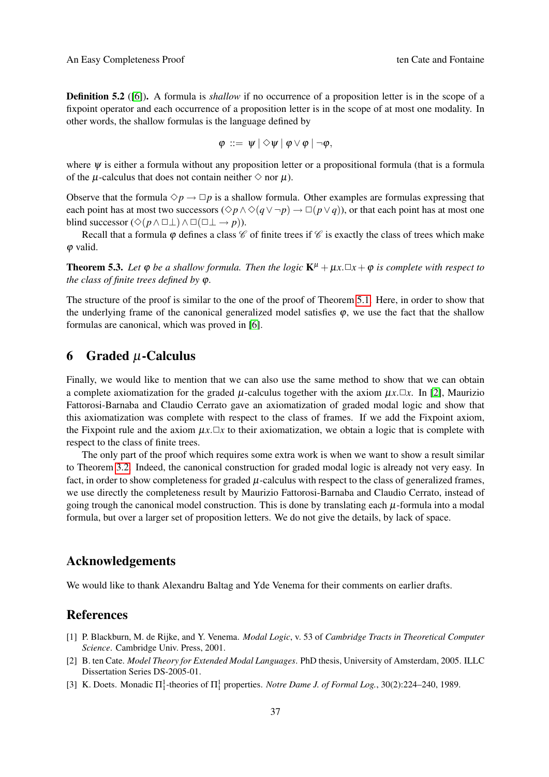**Definition 5.2** ([\[6\]](#page-7-1)). A formula is *shallow* if no occurrence of a proposition letter is in the scope of a fixpoint operator and each occurrence of a proposition letter is in the scope of at most one modality. In other words, the shallow formulas is the language defined by

$$
\varphi \ ::= \ \psi \ | \ \diamondsuit \psi \ | \ \varphi \vee \varphi \ | \ \neg \varphi,
$$

where  $\psi$  is either a formula without any proposition letter or a propositional formula (that is a formula of the  $\mu$ -calculus that does not contain neither  $\diamond$  nor  $\mu$ ).

Observe that the formula  $\Diamond p \rightarrow \Box p$  is a shallow formula. Other examples are formulas expressing that each point has at most two successors ( $\diamond p \land \diamond (q \lor \neg p) \rightarrow \Box (p \lor q)$ ), or that each point has at most one blind successor ( $\Diamond(p \land \Box \bot) \land \Box(\Box \bot \rightarrow p)$ ).

Recall that a formula  $\varphi$  defines a class  $\mathscr C$  of finite trees if  $\mathscr C$  is exactly the class of trees which make  $\varphi$  valid.

**Theorem 5.3.** Let  $\varphi$  *be a shallow formula. Then the logic*  $\mathbf{K}^{\mu} + \mu x \cdot \Box x + \varphi$  *is complete with respect to the class of finite trees defined by* ϕ*.*

The structure of the proof is similar to the one of the proof of Theorem [5.1.](#page-6-2) Here, in order to show that the underlying frame of the canonical generalized model satisfies  $\varphi$ , we use the fact that the shallow formulas are canonical, which was proved in [\[6\]](#page-7-1).

# 6 Graded  $\mu$ -Calculus

Finally, we would like to mention that we can also use the same method to show that we can obtain a complete axiomatization for the graded  $\mu$ -calculus together with the axiom  $\mu x \Box x$ . In [\[2\]](#page-8-3), Maurizio Fattorosi-Barnaba and Claudio Cerrato gave an axiomatization of graded modal logic and show that this axiomatization was complete with respect to the class of frames. If we add the Fixpoint axiom, the Fixpoint rule and the axiom  $\mu x \Box x$  to their axiomatization, we obtain a logic that is complete with respect to the class of finite trees.

The only part of the proof which requires some extra work is when we want to show a result similar to Theorem [3.2.](#page-4-0) Indeed, the canonical construction for graded modal logic is already not very easy. In fact, in order to show completeness for graded  $\mu$ -calculus with respect to the class of generalized frames, we use directly the completeness result by Maurizio Fattorosi-Barnaba and Claudio Cerrato, instead of going trough the canonical model construction. This is done by translating each  $\mu$ -formula into a modal formula, but over a larger set of proposition letters. We do not give the details, by lack of space.

## Acknowledgements

We would like to thank Alexandru Baltag and Yde Venema for their comments on earlier drafts.

## References

- <span id="page-7-2"></span>[1] P. Blackburn, M. de Rijke, and Y. Venema. *Modal Logic*, v. 53 of *Cambridge Tracts in Theoretical Computer Science*. Cambridge Univ. Press, 2001.
- <span id="page-7-1"></span>[2] B. ten Cate. *Model Theory for Extended Modal Languages*. PhD thesis, University of Amsterdam, 2005. ILLC Dissertation Series DS-2005-01.
- <span id="page-7-0"></span>[3] K. Doets. Monadic  $\Pi_1^1$ -theories of  $\Pi_1^1$  properties. *Notre Dame J. of Formal Log.*, 30(2):224–240, 1989.